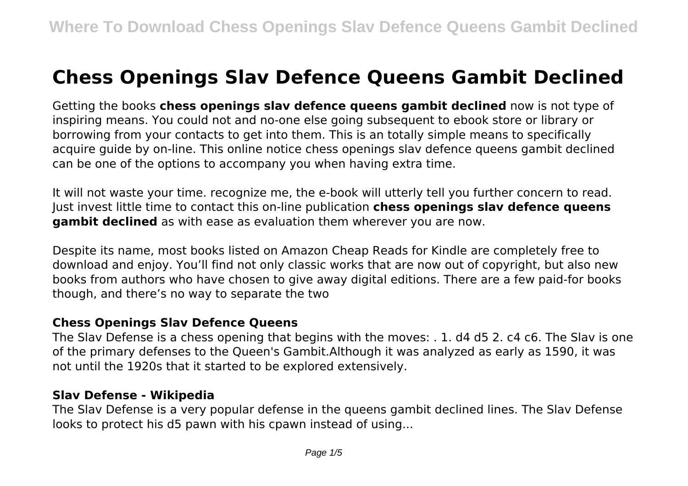# **Chess Openings Slav Defence Queens Gambit Declined**

Getting the books **chess openings slav defence queens gambit declined** now is not type of inspiring means. You could not and no-one else going subsequent to ebook store or library or borrowing from your contacts to get into them. This is an totally simple means to specifically acquire guide by on-line. This online notice chess openings slav defence queens gambit declined can be one of the options to accompany you when having extra time.

It will not waste your time. recognize me, the e-book will utterly tell you further concern to read. Just invest little time to contact this on-line publication **chess openings slav defence queens gambit declined** as with ease as evaluation them wherever you are now.

Despite its name, most books listed on Amazon Cheap Reads for Kindle are completely free to download and enjoy. You'll find not only classic works that are now out of copyright, but also new books from authors who have chosen to give away digital editions. There are a few paid-for books though, and there's no way to separate the two

#### **Chess Openings Slav Defence Queens**

The Slav Defense is a chess opening that begins with the moves: . 1. d4 d5 2. c4 c6. The Slav is one of the primary defenses to the Queen's Gambit.Although it was analyzed as early as 1590, it was not until the 1920s that it started to be explored extensively.

#### **Slav Defense - Wikipedia**

The Slav Defense is a very popular defense in the queens gambit declined lines. The Slav Defense looks to protect his d5 pawn with his cpawn instead of using...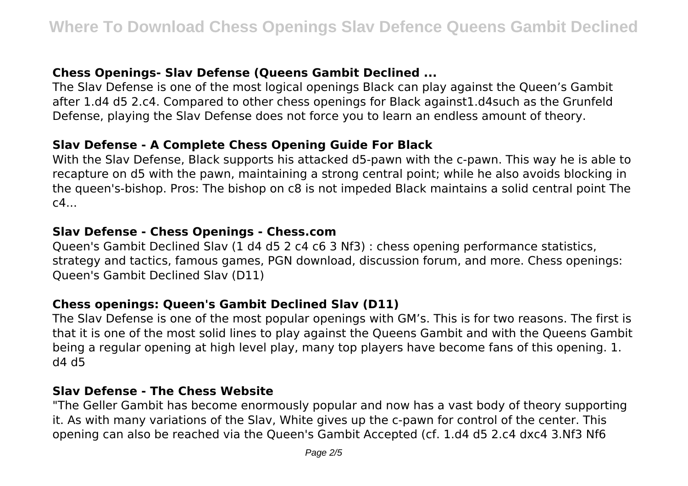# **Chess Openings- Slav Defense (Queens Gambit Declined ...**

The Slav Defense is one of the most logical openings Black can play against the Queen's Gambit after 1.d4 d5 2.c4. Compared to other chess openings for Black against1.d4such as the Grunfeld Defense, playing the Slav Defense does not force you to learn an endless amount of theory.

## **Slav Defense - A Complete Chess Opening Guide For Black**

With the Slav Defense, Black supports his attacked d5-pawn with the c-pawn. This way he is able to recapture on d5 with the pawn, maintaining a strong central point; while he also avoids blocking in the queen's-bishop. Pros: The bishop on c8 is not impeded Black maintains a solid central point The  $c4...$ 

## **Slav Defense - Chess Openings - Chess.com**

Queen's Gambit Declined Slav (1 d4 d5 2 c4 c6 3 Nf3) : chess opening performance statistics, strategy and tactics, famous games, PGN download, discussion forum, and more. Chess openings: Queen's Gambit Declined Slav (D11)

## **Chess openings: Queen's Gambit Declined Slav (D11)**

The Slav Defense is one of the most popular openings with GM's. This is for two reasons. The first is that it is one of the most solid lines to play against the Queens Gambit and with the Queens Gambit being a regular opening at high level play, many top players have become fans of this opening. 1. d4 d5

## **Slav Defense - The Chess Website**

"The Geller Gambit has become enormously popular and now has a vast body of theory supporting it. As with many variations of the Slav, White gives up the c-pawn for control of the center. This opening can also be reached via the Queen's Gambit Accepted (cf. 1.d4 d5 2.c4 dxc4 3.Nf3 Nf6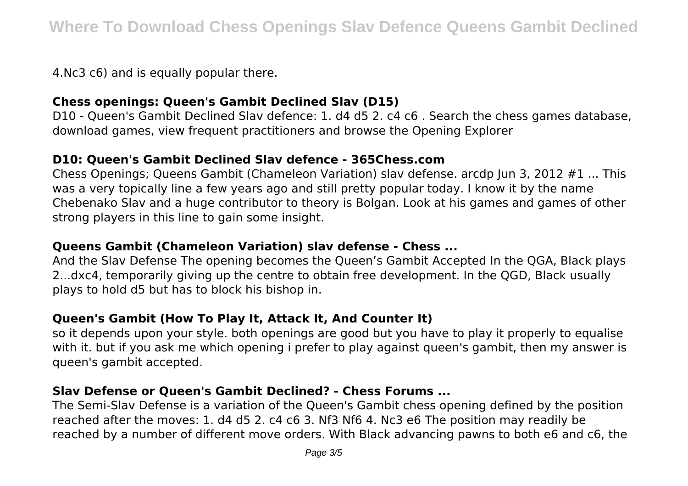4.Nc3 c6) and is equally popular there.

## **Chess openings: Queen's Gambit Declined Slav (D15)**

D10 - Queen's Gambit Declined Slav defence: 1. d4 d5 2. c4 c6 . Search the chess games database, download games, view frequent practitioners and browse the Opening Explorer

#### **D10: Queen's Gambit Declined Slav defence - 365Chess.com**

Chess Openings; Queens Gambit (Chameleon Variation) slav defense, arcdp Jun 3, 2012 #1 ... This was a very topically line a few years ago and still pretty popular today. I know it by the name Chebenako Slav and a huge contributor to theory is Bolgan. Look at his games and games of other strong players in this line to gain some insight.

## **Queens Gambit (Chameleon Variation) slav defense - Chess ...**

And the Slav Defense The opening becomes the Queen's Gambit Accepted In the QGA, Black plays 2...dxc4, temporarily giving up the centre to obtain free development. In the QGD, Black usually plays to hold d5 but has to block his bishop in.

## **Queen's Gambit (How To Play It, Attack It, And Counter It)**

so it depends upon your style. both openings are good but you have to play it properly to equalise with it. but if you ask me which opening i prefer to play against queen's gambit, then my answer is queen's gambit accepted.

## **Slav Defense or Queen's Gambit Declined? - Chess Forums ...**

The Semi-Slav Defense is a variation of the Queen's Gambit chess opening defined by the position reached after the moves: 1. d4 d5 2. c4 c6 3. Nf3 Nf6 4. Nc3 e6 The position may readily be reached by a number of different move orders. With Black advancing pawns to both e6 and c6, the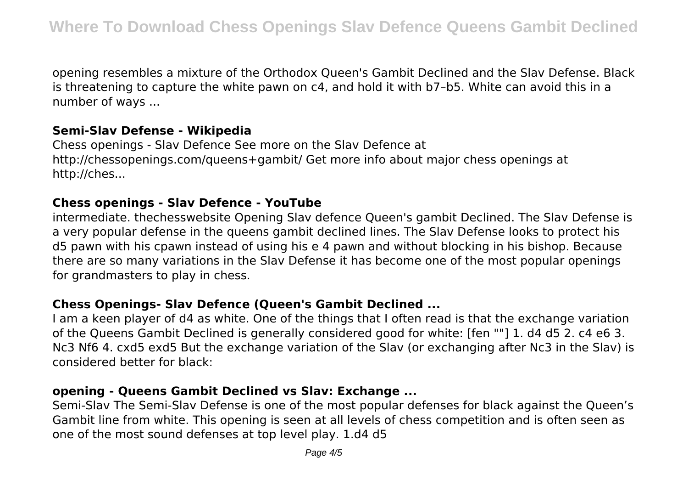opening resembles a mixture of the Orthodox Queen's Gambit Declined and the Slav Defense. Black is threatening to capture the white pawn on c4, and hold it with b7–b5. White can avoid this in a number of ways ...

#### **Semi-Slav Defense - Wikipedia**

Chess openings - Slav Defence See more on the Slav Defence at http://chessopenings.com/queens+gambit/ Get more info about major chess openings at http://ches...

#### **Chess openings - Slav Defence - YouTube**

intermediate. thechesswebsite Opening Slav defence Queen's gambit Declined. The Slav Defense is a very popular defense in the queens gambit declined lines. The Slav Defense looks to protect his d5 pawn with his cpawn instead of using his e 4 pawn and without blocking in his bishop. Because there are so many variations in the Slav Defense it has become one of the most popular openings for grandmasters to play in chess.

## **Chess Openings- Slav Defence (Queen's Gambit Declined ...**

I am a keen player of d4 as white. One of the things that I often read is that the exchange variation of the Queens Gambit Declined is generally considered good for white: [fen ""] 1. d4 d5 2. c4 e6 3. Nc3 Nf6 4. cxd5 exd5 But the exchange variation of the Slav (or exchanging after Nc3 in the Slav) is considered better for black:

#### **opening - Queens Gambit Declined vs Slav: Exchange ...**

Semi-Slav The Semi-Slav Defense is one of the most popular defenses for black against the Queen's Gambit line from white. This opening is seen at all levels of chess competition and is often seen as one of the most sound defenses at top level play. 1.d4 d5